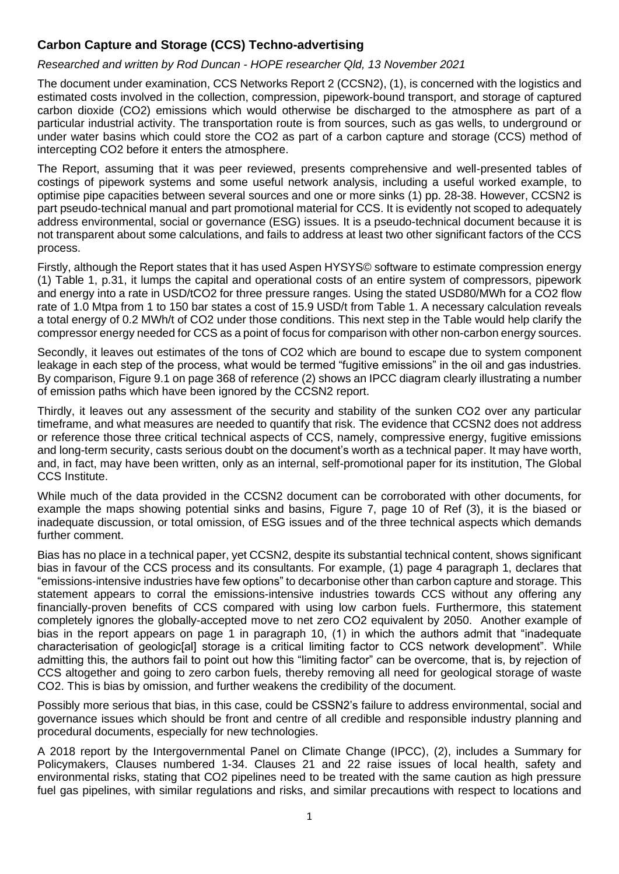## **Carbon Capture and Storage (CCS) Techno-advertising**

## *Researched and written by Rod Duncan - HOPE researcher Qld, 13 November 2021*

The document under examination, CCS Networks Report 2 (CCSN2), (1), is concerned with the logistics and estimated costs involved in the collection, compression, pipework-bound transport, and storage of captured carbon dioxide (CO2) emissions which would otherwise be discharged to the atmosphere as part of a particular industrial activity. The transportation route is from sources, such as gas wells, to underground or under water basins which could store the CO2 as part of a carbon capture and storage (CCS) method of intercepting CO2 before it enters the atmosphere.

The Report, assuming that it was peer reviewed, presents comprehensive and well-presented tables of costings of pipework systems and some useful network analysis, including a useful worked example, to optimise pipe capacities between several sources and one or more sinks (1) pp. 28-38. However, CCSN2 is part pseudo-technical manual and part promotional material for CCS. It is evidently not scoped to adequately address environmental, social or governance (ESG) issues. It is a pseudo-technical document because it is not transparent about some calculations, and fails to address at least two other significant factors of the CCS process.

Firstly, although the Report states that it has used Aspen HYSYS© software to estimate compression energy (1) Table 1, p.31, it lumps the capital and operational costs of an entire system of compressors, pipework and energy into a rate in USD/tCO2 for three pressure ranges. Using the stated USD80/MWh for a CO2 flow rate of 1.0 Mtpa from 1 to 150 bar states a cost of 15.9 USD/t from Table 1. A necessary calculation reveals a total energy of 0.2 MWh/t of CO2 under those conditions. This next step in the Table would help clarify the compressor energy needed for CCS as a point of focus for comparison with other non-carbon energy sources.

Secondly, it leaves out estimates of the tons of CO2 which are bound to escape due to system component leakage in each step of the process, what would be termed "fugitive emissions" in the oil and gas industries. By comparison, Figure 9.1 on page 368 of reference (2) shows an IPCC diagram clearly illustrating a number of emission paths which have been ignored by the CCSN2 report.

Thirdly, it leaves out any assessment of the security and stability of the sunken CO2 over any particular timeframe, and what measures are needed to quantify that risk. The evidence that CCSN2 does not address or reference those three critical technical aspects of CCS, namely, compressive energy, fugitive emissions and long-term security, casts serious doubt on the document's worth as a technical paper. It may have worth, and, in fact, may have been written, only as an internal, self-promotional paper for its institution, The Global CCS Institute.

While much of the data provided in the CCSN2 document can be corroborated with other documents, for example the maps showing potential sinks and basins, Figure 7, page 10 of Ref (3), it is the biased or inadequate discussion, or total omission, of ESG issues and of the three technical aspects which demands further comment.

Bias has no place in a technical paper, yet CCSN2, despite its substantial technical content, shows significant bias in favour of the CCS process and its consultants. For example, (1) page 4 paragraph 1, declares that "emissions-intensive industries have few options" to decarbonise other than carbon capture and storage. This statement appears to corral the emissions-intensive industries towards CCS without any offering any financially-proven benefits of CCS compared with using low carbon fuels. Furthermore, this statement completely ignores the globally-accepted move to net zero CO2 equivalent by 2050. Another example of bias in the report appears on page 1 in paragraph 10, (1) in which the authors admit that "inadequate characterisation of geologic[al] storage is a critical limiting factor to CCS network development". While admitting this, the authors fail to point out how this "limiting factor" can be overcome, that is, by rejection of CCS altogether and going to zero carbon fuels, thereby removing all need for geological storage of waste CO2. This is bias by omission, and further weakens the credibility of the document.

Possibly more serious that bias, in this case, could be CSSN2's failure to address environmental, social and governance issues which should be front and centre of all credible and responsible industry planning and procedural documents, especially for new technologies.

A 2018 report by the Intergovernmental Panel on Climate Change (IPCC), (2), includes a Summary for Policymakers, Clauses numbered 1-34. Clauses 21 and 22 raise issues of local health, safety and environmental risks, stating that CO2 pipelines need to be treated with the same caution as high pressure fuel gas pipelines, with similar regulations and risks, and similar precautions with respect to locations and